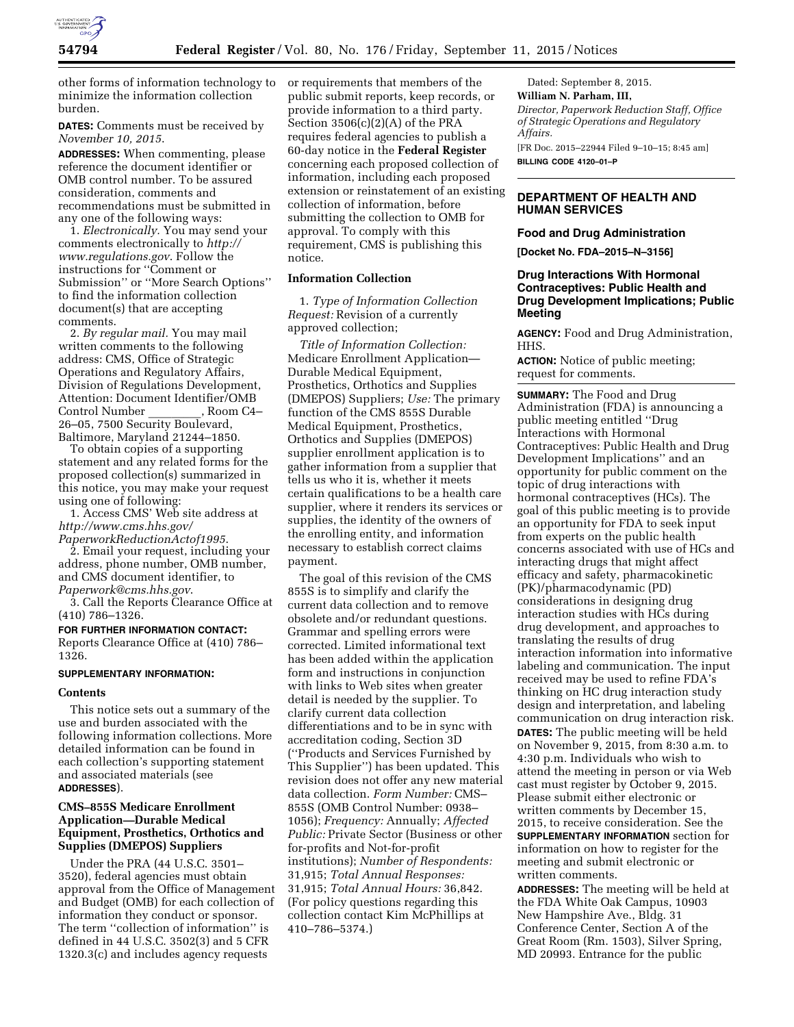

other forms of information technology to minimize the information collection burden.

**DATES:** Comments must be received by *November 10, 2015*.

**ADDRESSES:** When commenting, please reference the document identifier or OMB control number. To be assured consideration, comments and recommendations must be submitted in any one of the following ways:

1. *Electronically.* You may send your comments electronically to *[http://](http://www.regulations.gov) [www.regulations.gov](http://www.regulations.gov)*. Follow the instructions for ''Comment or Submission'' or ''More Search Options'' to find the information collection document(s) that are accepting comments.

2. *By regular mail.* You may mail written comments to the following address: CMS, Office of Strategic Operations and Regulatory Affairs, Division of Regulations Development, Attention: Document Identifier/OMB Control Number 26–05, 7500 Security Boulevard, Baltimore, Maryland 21244–1850.

To obtain copies of a supporting statement and any related forms for the proposed collection(s) summarized in this notice, you may make your request using one of following:

1. Access CMS' Web site address at *[http://www.cms.hhs.gov/](http://www.cms.hhs.gov/PaperworkReductionActof1995)*

*[PaperworkReductionActof1995](http://www.cms.hhs.gov/PaperworkReductionActof1995)*. 2. Email your request, including your address, phone number, OMB number, and CMS document identifier, to

*[Paperwork@cms.hhs.gov](mailto:Paperwork@cms.hhs.gov)*. 3. Call the Reports Clearance Office at

(410) 786–1326.

**FOR FURTHER INFORMATION CONTACT:**  Reports Clearance Office at (410) 786– 1326.

#### **SUPPLEMENTARY INFORMATION:**

### **Contents**

This notice sets out a summary of the use and burden associated with the following information collections. More detailed information can be found in each collection's supporting statement and associated materials (see **ADDRESSES**).

# **CMS–855S Medicare Enrollment Application—Durable Medical Equipment, Prosthetics, Orthotics and Supplies (DMEPOS) Suppliers**

Under the PRA (44 U.S.C. 3501– 3520), federal agencies must obtain approval from the Office of Management and Budget (OMB) for each collection of information they conduct or sponsor. The term "collection of information" is defined in 44 U.S.C. 3502(3) and 5 CFR 1320.3(c) and includes agency requests

or requirements that members of the public submit reports, keep records, or provide information to a third party. Section 3506(c)(2)(A) of the PRA requires federal agencies to publish a 60-day notice in the **Federal Register**  concerning each proposed collection of information, including each proposed extension or reinstatement of an existing collection of information, before submitting the collection to OMB for approval. To comply with this requirement, CMS is publishing this notice.

# **Information Collection**

1. *Type of Information Collection Request:* Revision of a currently approved collection;

*Title of Information Collection:*  Medicare Enrollment Application— Durable Medical Equipment, Prosthetics, Orthotics and Supplies (DMEPOS) Suppliers; *Use:* The primary function of the CMS 855S Durable Medical Equipment, Prosthetics, Orthotics and Supplies (DMEPOS) supplier enrollment application is to gather information from a supplier that tells us who it is, whether it meets certain qualifications to be a health care supplier, where it renders its services or supplies, the identity of the owners of the enrolling entity, and information necessary to establish correct claims payment.

The goal of this revision of the CMS 855S is to simplify and clarify the current data collection and to remove obsolete and/or redundant questions. Grammar and spelling errors were corrected. Limited informational text has been added within the application form and instructions in conjunction with links to Web sites when greater detail is needed by the supplier. To clarify current data collection differentiations and to be in sync with accreditation coding, Section 3D (''Products and Services Furnished by This Supplier'') has been updated. This revision does not offer any new material data collection. *Form Number:* CMS– 855S (OMB Control Number: 0938– 1056); *Frequency:* Annually; *Affected Public:* Private Sector (Business or other for-profits and Not-for-profit institutions); *Number of Respondents:*  31,915; *Total Annual Responses:*  31,915; *Total Annual Hours:* 36,842. (For policy questions regarding this collection contact Kim McPhillips at 410–786–5374.)

Dated: September 8, 2015. **William N. Parham, III,**  *Director, Paperwork Reduction Staff, Office of Strategic Operations and Regulatory Affairs.*  [FR Doc. 2015–22944 Filed 9–10–15; 8:45 am] **BILLING CODE 4120–01–P** 

# **DEPARTMENT OF HEALTH AND HUMAN SERVICES**

# **Food and Drug Administration**

**[Docket No. FDA–2015–N–3156]** 

# **Drug Interactions With Hormonal Contraceptives: Public Health and Drug Development Implications; Public Meeting**

**AGENCY:** Food and Drug Administration, HHS.

**ACTION:** Notice of public meeting; request for comments.

**SUMMARY:** The Food and Drug Administration (FDA) is announcing a public meeting entitled ''Drug Interactions with Hormonal Contraceptives: Public Health and Drug Development Implications'' and an opportunity for public comment on the topic of drug interactions with hormonal contraceptives (HCs). The goal of this public meeting is to provide an opportunity for FDA to seek input from experts on the public health concerns associated with use of HCs and interacting drugs that might affect efficacy and safety, pharmacokinetic (PK)/pharmacodynamic (PD) considerations in designing drug interaction studies with HCs during drug development, and approaches to translating the results of drug interaction information into informative labeling and communication. The input received may be used to refine FDA's thinking on HC drug interaction study design and interpretation, and labeling communication on drug interaction risk. **DATES:** The public meeting will be held on November 9, 2015, from 8:30 a.m. to 4:30 p.m. Individuals who wish to attend the meeting in person or via Web cast must register by October 9, 2015. Please submit either electronic or written comments by December 15, 2015, to receive consideration. See the **SUPPLEMENTARY INFORMATION** section for information on how to register for the meeting and submit electronic or written comments.

**ADDRESSES:** The meeting will be held at the FDA White Oak Campus, 10903 New Hampshire Ave., Bldg. 31 Conference Center, Section A of the Great Room (Rm. 1503), Silver Spring, MD 20993. Entrance for the public